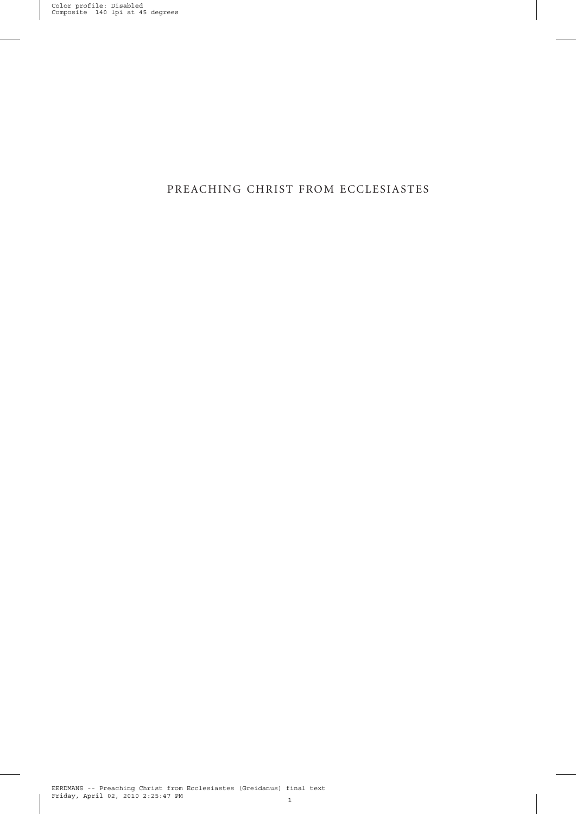### PREACHING CHRIST FROM ECCLESIASTES

 $\overline{\phantom{a}}$ 

 $\bigg|$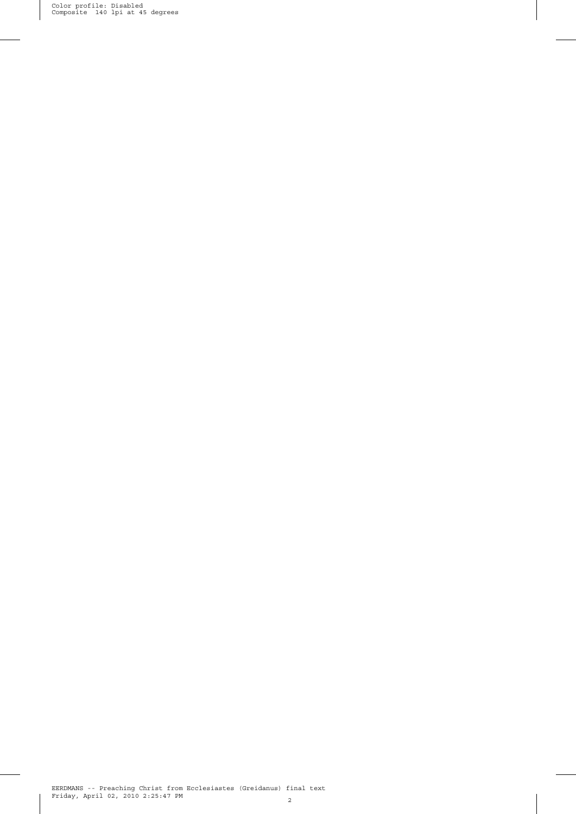Color profile: Disabled Composite 140 lpi at 45 degrees

 $\overline{\phantom{a}}$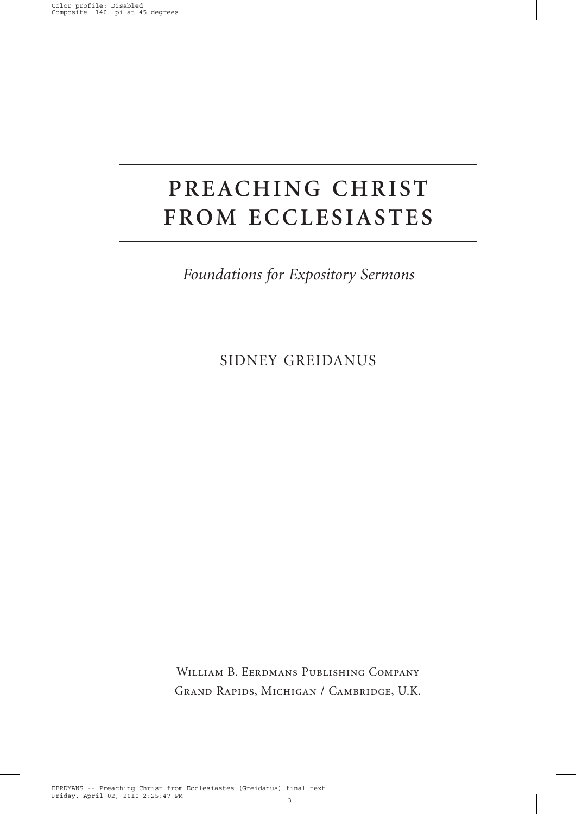# **PREACHING CHRIST FROM ECCLESIASTES**

*Foundations for Expository Sermons*

SIDNEY GREIDANUS

William B. Eerdmans Publishing Company Grand Rapids, Michigan / Cambridge, U.K.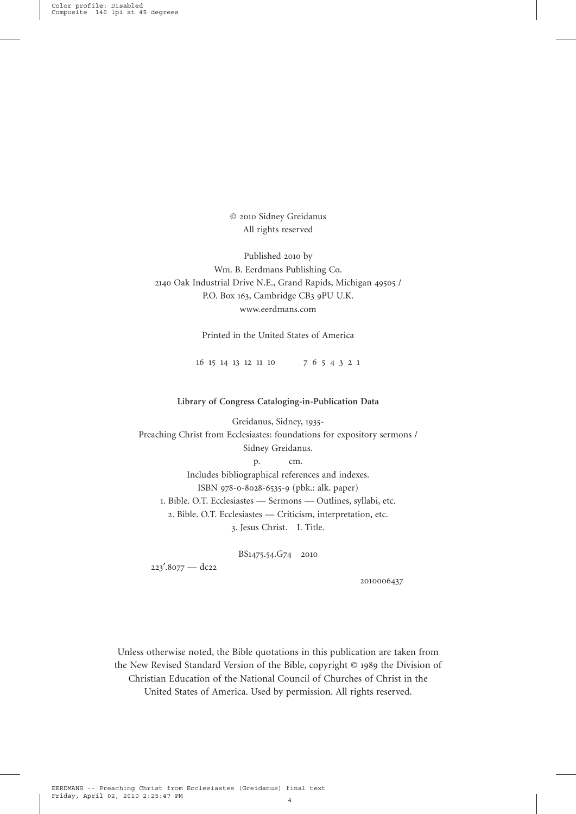© 2010 Sidney Greidanus All rights reserved

Published 2010 by Wm. B. Eerdmans Publishing Co. 2140 Oak Industrial Drive N.E., Grand Rapids, Michigan 49505 / P.O. Box 163, Cambridge CB3 9PU U.K. www.eerdmans.com

Printed in the United States of America

16 15 14 13 12 11 10 7 6 5 4 3 2 1

#### **Library of Congress Cataloging-in-Publication Data**

Greidanus, Sidney, 1935- Preaching Christ from Ecclesiastes: foundations for expository sermons / Sidney Greidanus. p. cm. Includes bibliographical references and indexes. ISBN 978-0-8028-6535-9 (pbk.: alk. paper)

1. Bible. O.T. Ecclesiastes — Sermons — Outlines, syllabi, etc. 2. Bible. O.T. Ecclesiastes — Criticism, interpretation, etc. 3. Jesus Christ. I. Title.

BS1475.54.G74 2010

 $223'$ .8077 — dc22

2010006437

Unless otherwise noted, the Bible quotations in this publication are taken from the New Revised Standard Version of the Bible, copyright © 1989 the Division of Christian Education of the National Council of Churches of Christ in the United States of America. Used by permission. All rights reserved.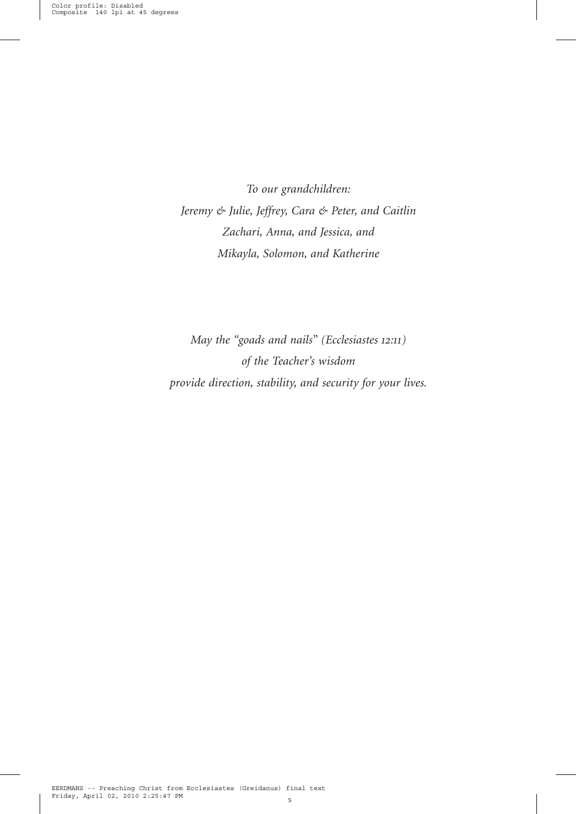*To our grandchildren: Jeremy & Julie, Jeffrey, Cara & Peter, and Caitlin Zachari, Anna, and Jessica, and Mikayla, Solomon, and Katherine*

*May the "goads and nails" (Ecclesiastes 12:11) of the Teacher's wisdom provide direction, stability, and security for your lives.*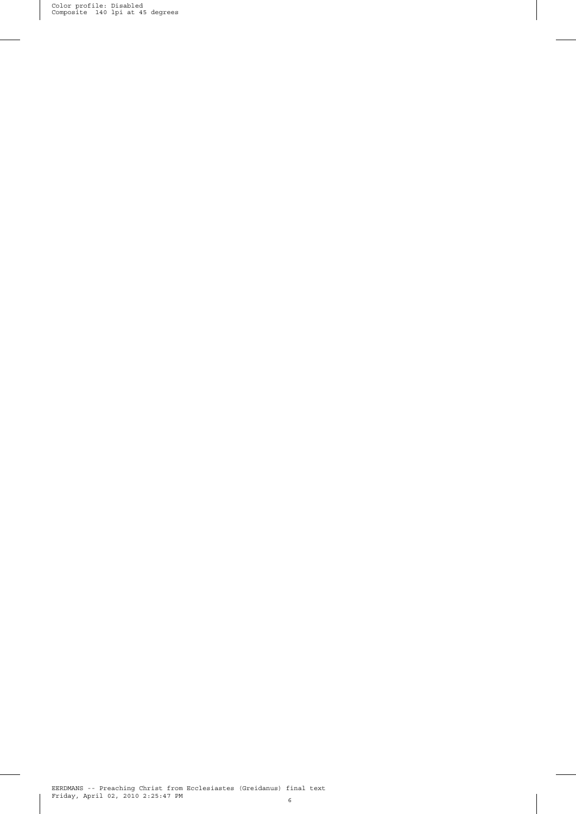Color profile: Disabled Composite 140 lpi at 45 degrees

 $\overline{\phantom{a}}$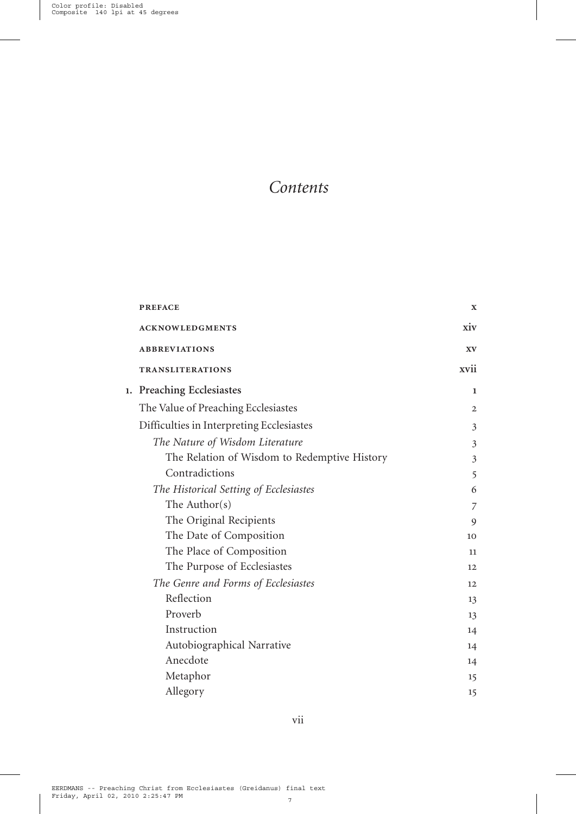### *Contents*

 $\overline{\phantom{a}}$ 

 $\begin{array}{c} \hline \end{array}$ 

| <b>PREFACE</b>                               | X    |
|----------------------------------------------|------|
| <b>ACKNOWLEDGMENTS</b>                       | xiv  |
| <b>ABBREVIATIONS</b>                         | XV   |
| <b>TRANSLITERATIONS</b>                      | xvii |
| 1. Preaching Ecclesiastes                    | 1    |
| The Value of Preaching Ecclesiastes          | 2    |
| Difficulties in Interpreting Ecclesiastes    | 3    |
| The Nature of Wisdom Literature              | 3    |
| The Relation of Wisdom to Redemptive History | 3    |
| Contradictions                               | 5    |
| The Historical Setting of Ecclesiastes       | 6    |
| The Author( $s$ )                            | 7    |
| The Original Recipients                      | 9    |
| The Date of Composition                      | 10   |
| The Place of Composition                     | 11   |
| The Purpose of Ecclesiastes                  | 12   |
| The Genre and Forms of Ecclesiastes          | 12   |
| Reflection                                   | 13   |
| Proverb                                      | 13   |
| Instruction                                  | 14   |
| Autobiographical Narrative                   | 14   |
| Anecdote                                     | 14   |
| Metaphor                                     | 15   |
| Allegory                                     | 15   |

vii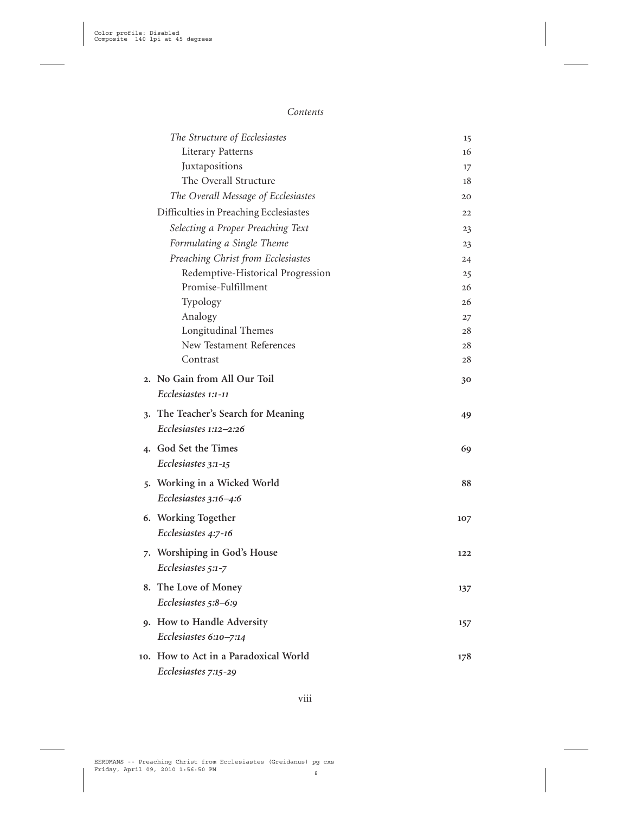I

#### *Contents*

 $\overline{\phantom{a}}$ 

| The Structure of Ecclesiastes          | 15  |
|----------------------------------------|-----|
| <b>Literary Patterns</b>               | 16  |
| Juxtapositions                         | 17  |
| The Overall Structure                  | 18  |
| The Overall Message of Ecclesiastes    | 20  |
| Difficulties in Preaching Ecclesiastes | 22  |
| Selecting a Proper Preaching Text      | 23  |
| Formulating a Single Theme             | 23  |
| Preaching Christ from Ecclesiastes     | 24  |
| Redemptive-Historical Progression      | 25  |
| Promise-Fulfillment                    | 26  |
| Typology                               | 26  |
| Analogy                                | 27  |
| Longitudinal Themes                    | 28  |
| New Testament References               | 28  |
| Contrast                               | 28  |
| 2. No Gain from All Our Toil           | 30  |
| Ecclesiastes 1:1-11                    |     |
| 3. The Teacher's Search for Meaning    | 49  |
| Ecclesiastes $1:12-2:26$               |     |
| 4. God Set the Times                   | 69  |
| Ecclesiastes 3:1-15                    |     |
| 5. Working in a Wicked World           | 88  |
| Ecclesiastes 3:16-4:6                  |     |
| 6. Working Together                    | 107 |
| Ecclesiastes 4:7-16                    |     |
| 7. Worshiping in God's House           | 122 |
| Ecclesiastes 5:1-7                     |     |
| 8. The Love of Money                   | 137 |
| Ecclesiastes 5:8-6:9                   |     |
| 9. How to Handle Adversity             | 157 |
| Ecclesiastes 6:10-7:14                 |     |
| 10. How to Act in a Paradoxical World  | 178 |
| Ecclesiastes 7:15-29                   |     |
|                                        |     |

viii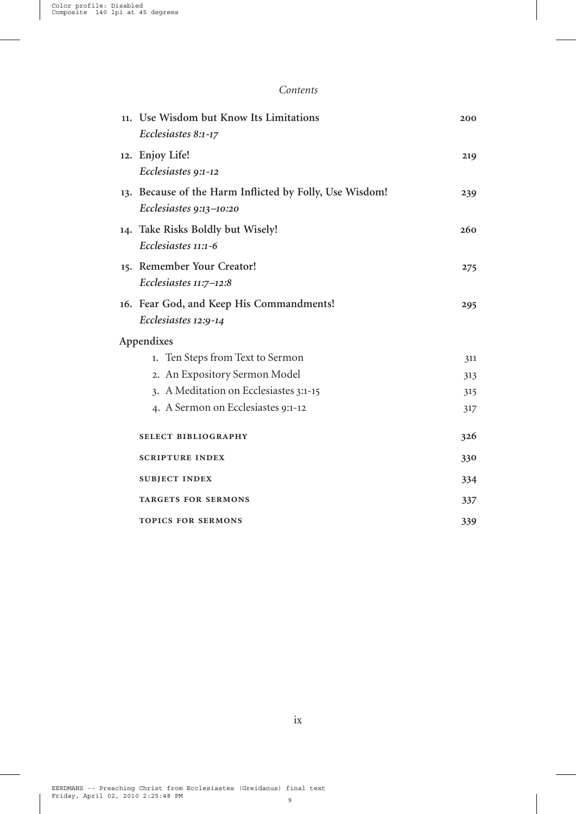I

#### *Contents*

 $\overline{\phantom{a}}$ 

| 11. Use Wisdom but Know Its Limitations<br>Ecclesiastes 8:1-17                       | 200 |
|--------------------------------------------------------------------------------------|-----|
| 12. Enjoy Life!<br>Ecclesiastes 9:1-12                                               | 219 |
| 13. Because of the Harm Inflicted by Folly, Use Wisdom!<br>Ecclesiastes $9:13-10:20$ | 239 |
| 14. Take Risks Boldly but Wisely!<br>Ecclesiastes 11:1-6                             | 260 |
| 15. Remember Your Creator!<br>Ecclesiastes 11:7-12:8                                 | 275 |
| 16. Fear God, and Keep His Commandments!<br>Ecclesiastes 12:9-14                     | 295 |
| Appendixes                                                                           |     |
| 1. Ten Steps from Text to Sermon                                                     | 311 |
| 2. An Expository Sermon Model                                                        | 313 |
| 3. A Meditation on Ecclesiastes 3:1-15                                               | 315 |
| 4. A Sermon on Ecclesiastes 9:1-12                                                   | 317 |
| <b>SELECT BIBLIOGRAPHY</b>                                                           | 326 |
| <b>SCRIPTURE INDEX</b>                                                               | 330 |
| <b>SUBJECT INDEX</b>                                                                 | 334 |
| <b>TARGETS FOR SERMONS</b>                                                           | 337 |
| <b>TOPICS FOR SERMONS</b>                                                            | 339 |

ix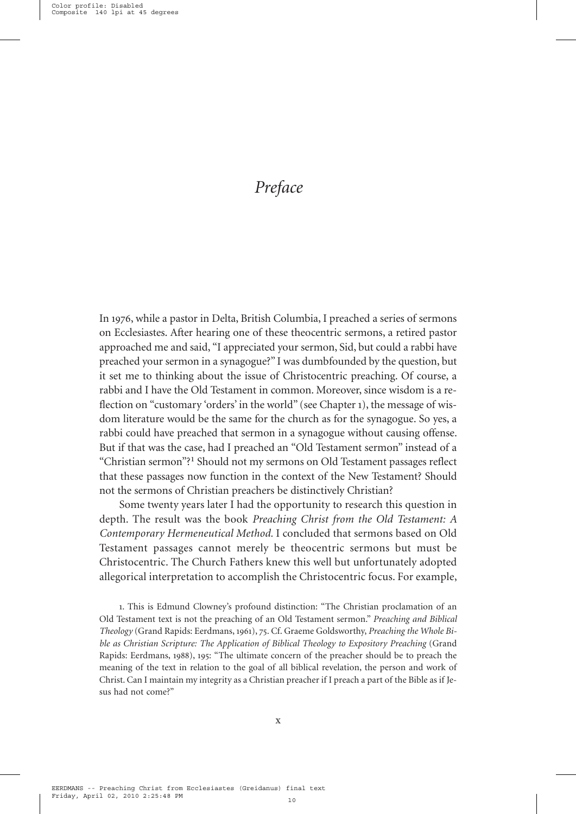In 1976, while a pastor in Delta, British Columbia, I preached a series of sermons on Ecclesiastes. After hearing one of these theocentric sermons, a retired pastor approached me and said, "I appreciated your sermon, Sid, but could a rabbi have preached your sermon in a synagogue?" I was dumbfounded by the question, but it set me to thinking about the issue of Christocentric preaching. Of course, a rabbi and I have the Old Testament in common. Moreover, since wisdom is a reflection on "customary 'orders' in the world" (see Chapter 1), the message of wisdom literature would be the same for the church as for the synagogue. So yes, a rabbi could have preached that sermon in a synagogue without causing offense. But if that was the case, had I preached an "Old Testament sermon" instead of a "Christian sermon"?1 Should not my sermons on Old Testament passages reflect that these passages now function in the context of the New Testament? Should not the sermons of Christian preachers be distinctively Christian?

Some twenty years later I had the opportunity to research this question in depth. The result was the book *Preaching Christ from the Old Testament: A Contemporary Hermeneutical Method.* I concluded that sermons based on Old Testament passages cannot merely be theocentric sermons but must be Christocentric. The Church Fathers knew this well but unfortunately adopted allegorical interpretation to accomplish the Christocentric focus. For example,

1. This is Edmund Clowney's profound distinction: "The Christian proclamation of an Old Testament text is not the preaching of an Old Testament sermon." *Preaching and Biblical Theology* (Grand Rapids: Eerdmans, 1961), 75. Cf. Graeme Goldsworthy, *Preaching the Whole Bible as Christian Scripture: The Application of Biblical Theology to Expository Preaching* (Grand Rapids: Eerdmans, 1988), 195: "The ultimate concern of the preacher should be to preach the meaning of the text in relation to the goal of all biblical revelation, the person and work of Christ. Can I maintain my integrity as a Christian preacher if I preach a part of the Bible as if Jesus had not come?'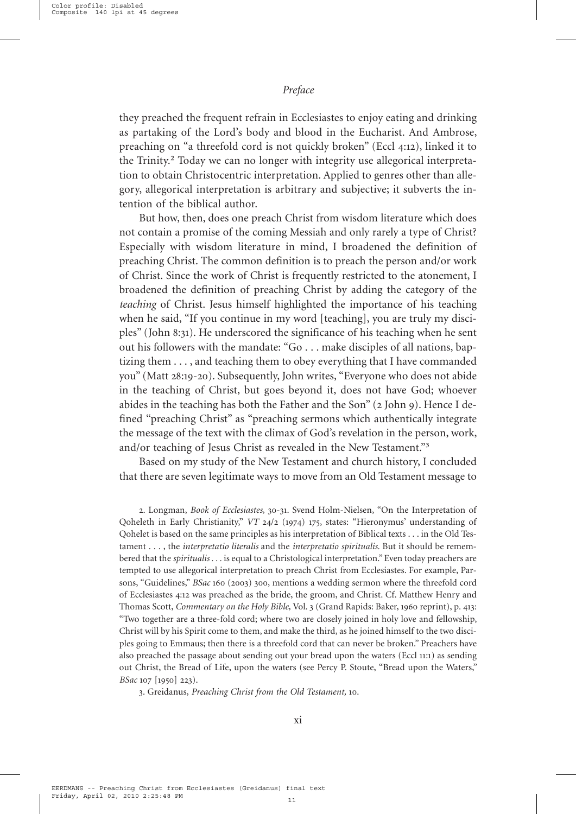they preached the frequent refrain in Ecclesiastes to enjoy eating and drinking as partaking of the Lord's body and blood in the Eucharist. And Ambrose, preaching on "a threefold cord is not quickly broken" (Eccl 4:12), linked it to the Trinity.2 Today we can no longer with integrity use allegorical interpretation to obtain Christocentric interpretation. Applied to genres other than allegory, allegorical interpretation is arbitrary and subjective; it subverts the intention of the biblical author.

But how, then, does one preach Christ from wisdom literature which does not contain a promise of the coming Messiah and only rarely a type of Christ? Especially with wisdom literature in mind, I broadened the definition of preaching Christ. The common definition is to preach the person and/or work of Christ. Since the work of Christ is frequently restricted to the atonement, I broadened the definition of preaching Christ by adding the category of the *teaching* of Christ. Jesus himself highlighted the importance of his teaching when he said, "If you continue in my word [teaching], you are truly my disciples" (John 8:31). He underscored the significance of his teaching when he sent out his followers with the mandate: "Go . . . make disciples of all nations, baptizing them . . . , and teaching them to obey everything that I have commanded you" (Matt 28:19-20). Subsequently, John writes, "Everyone who does not abide in the teaching of Christ, but goes beyond it, does not have God; whoever abides in the teaching has both the Father and the Son" (2 John 9). Hence I defined "preaching Christ" as "preaching sermons which authentically integrate the message of the text with the climax of God's revelation in the person, work, and/or teaching of Jesus Christ as revealed in the New Testament."3

Based on my study of the New Testament and church history, I concluded that there are seven legitimate ways to move from an Old Testament message to

2. Longman, *Book of Ecclesiastes,* 30-31. Svend Holm-Nielsen, "On the Interpretation of Qoheleth in Early Christianity," *VT* 24/2 (1974) 175, states: "Hieronymus' understanding of Qohelet is based on the same principles as his interpretation of Biblical texts . . . in the Old Testament . . . , the *interpretatio literalis* and the *interpretatio spiritualis.* But it should be remembered that the *spiritualis...* is equal to a Christological interpretation." Even today preachers are tempted to use allegorical interpretation to preach Christ from Ecclesiastes. For example, Parsons, "Guidelines," *BSac* 160 (2003) 300, mentions a wedding sermon where the threefold cord of Ecclesiastes 4:12 was preached as the bride, the groom, and Christ. Cf. Matthew Henry and Thomas Scott, *Commentary on the Holy Bible,* Vol. 3 (Grand Rapids: Baker, 1960 reprint), p. 413: "Two together are a three-fold cord; where two are closely joined in holy love and fellowship, Christ will by his Spirit come to them, and make the third, as he joined himself to the two disciples going to Emmaus; then there is a threefold cord that can never be broken." Preachers have also preached the passage about sending out your bread upon the waters (Eccl 11:1) as sending out Christ, the Bread of Life, upon the waters (see Percy P. Stoute, "Bread upon the Waters," *BSac* 107 [1950] 223).

3. Greidanus, *Preaching Christ from the Old Testament,* 10.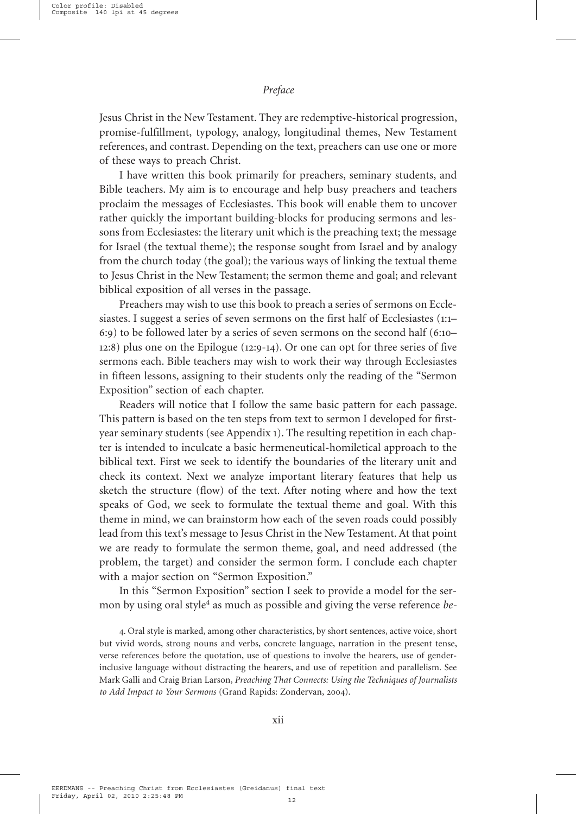Jesus Christ in the New Testament. They are redemptive-historical progression, promise-fulfillment, typology, analogy, longitudinal themes, New Testament references, and contrast. Depending on the text, preachers can use one or more of these ways to preach Christ.

I have written this book primarily for preachers, seminary students, and Bible teachers. My aim is to encourage and help busy preachers and teachers proclaim the messages of Ecclesiastes. This book will enable them to uncover rather quickly the important building-blocks for producing sermons and lessons from Ecclesiastes: the literary unit which is the preaching text; the message for Israel (the textual theme); the response sought from Israel and by analogy from the church today (the goal); the various ways of linking the textual theme to Jesus Christ in the New Testament; the sermon theme and goal; and relevant biblical exposition of all verses in the passage.

Preachers may wish to use this book to preach a series of sermons on Ecclesiastes. I suggest a series of seven sermons on the first half of Ecclesiastes (1:1– 6:9) to be followed later by a series of seven sermons on the second half (6:10– 12:8) plus one on the Epilogue (12:9-14). Or one can opt for three series of five sermons each. Bible teachers may wish to work their way through Ecclesiastes in fifteen lessons, assigning to their students only the reading of the "Sermon Exposition" section of each chapter.

Readers will notice that I follow the same basic pattern for each passage. This pattern is based on the ten steps from text to sermon I developed for firstyear seminary students (see Appendix 1). The resulting repetition in each chapter is intended to inculcate a basic hermeneutical-homiletical approach to the biblical text. First we seek to identify the boundaries of the literary unit and check its context. Next we analyze important literary features that help us sketch the structure (flow) of the text. After noting where and how the text speaks of God, we seek to formulate the textual theme and goal. With this theme in mind, we can brainstorm how each of the seven roads could possibly lead from this text's message to Jesus Christ in the New Testament. At that point we are ready to formulate the sermon theme, goal, and need addressed (the problem, the target) and consider the sermon form. I conclude each chapter with a major section on "Sermon Exposition."

In this "Sermon Exposition" section I seek to provide a model for the sermon by using oral style<sup>4</sup> as much as possible and giving the verse reference *be*-

<sup>4.</sup> Oral style is marked, among other characteristics, by short sentences, active voice, short but vivid words, strong nouns and verbs, concrete language, narration in the present tense, verse references before the quotation, use of questions to involve the hearers, use of genderinclusive language without distracting the hearers, and use of repetition and parallelism. See Mark Galli and Craig Brian Larson, *Preaching That Connects: Using the Techniques of Journalists to Add Impact to Your Sermons* (Grand Rapids: Zondervan, 2004).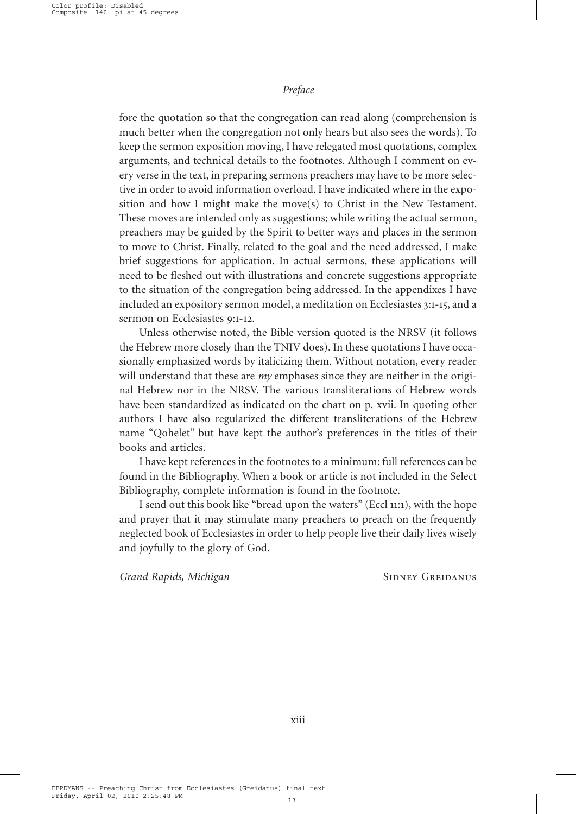fore the quotation so that the congregation can read along (comprehension is much better when the congregation not only hears but also sees the words). To keep the sermon exposition moving, I have relegated most quotations, complex arguments, and technical details to the footnotes. Although I comment on every verse in the text, in preparing sermons preachers may have to be more selective in order to avoid information overload. I have indicated where in the exposition and how I might make the move(s) to Christ in the New Testament. These moves are intended only as suggestions; while writing the actual sermon, preachers may be guided by the Spirit to better ways and places in the sermon to move to Christ. Finally, related to the goal and the need addressed, I make brief suggestions for application. In actual sermons, these applications will need to be fleshed out with illustrations and concrete suggestions appropriate to the situation of the congregation being addressed. In the appendixes I have included an expository sermon model, a meditation on Ecclesiastes 3:1-15, and a sermon on Ecclesiastes 9:1-12.

Unless otherwise noted, the Bible version quoted is the NRSV (it follows the Hebrew more closely than the TNIV does). In these quotations I have occasionally emphasized words by italicizing them. Without notation, every reader will understand that these are *my* emphases since they are neither in the original Hebrew nor in the NRSV. The various transliterations of Hebrew words have been standardized as indicated on the chart on p. xvii. In quoting other authors I have also regularized the different transliterations of the Hebrew name "Qohelet" but have kept the author's preferences in the titles of their books and articles.

I have kept references in the footnotes to a minimum: full references can be found in the Bibliography. When a book or article is not included in the Select Bibliography, complete information is found in the footnote.

I send out this book like "bread upon the waters" (Eccl 11:1), with the hope and prayer that it may stimulate many preachers to preach on the frequently neglected book of Ecclesiastes in order to help people live their daily lives wisely and joyfully to the glory of God.

*Grand Rapids, Michigan* SIDNEY GREIDANUS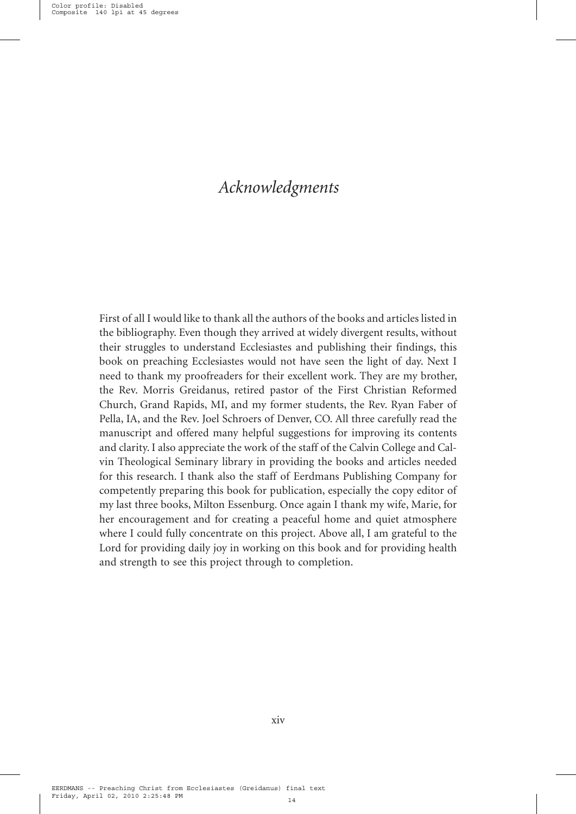### *Acknowledgments*

First of all I would like to thank all the authors of the books and articles listed in the bibliography. Even though they arrived at widely divergent results, without their struggles to understand Ecclesiastes and publishing their findings, this book on preaching Ecclesiastes would not have seen the light of day. Next I need to thank my proofreaders for their excellent work. They are my brother, the Rev. Morris Greidanus, retired pastor of the First Christian Reformed Church, Grand Rapids, MI, and my former students, the Rev. Ryan Faber of Pella, IA, and the Rev. Joel Schroers of Denver, CO. All three carefully read the manuscript and offered many helpful suggestions for improving its contents and clarity. I also appreciate the work of the staff of the Calvin College and Calvin Theological Seminary library in providing the books and articles needed for this research. I thank also the staff of Eerdmans Publishing Company for competently preparing this book for publication, especially the copy editor of my last three books, Milton Essenburg. Once again I thank my wife, Marie, for her encouragement and for creating a peaceful home and quiet atmosphere where I could fully concentrate on this project. Above all, I am grateful to the Lord for providing daily joy in working on this book and for providing health and strength to see this project through to completion.

xiv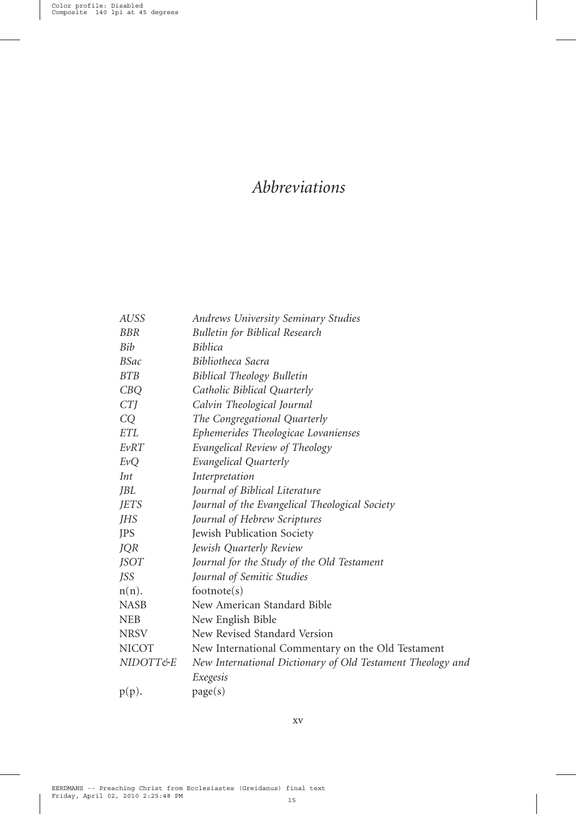# *Abbreviations*

 $\overline{\phantom{a}}$ 

 $\begin{array}{c} \hline \end{array}$ 

| AUSS         | <b>Andrews University Seminary Studies</b>                 |
|--------------|------------------------------------------------------------|
| <b>BBR</b>   | <b>Bulletin for Biblical Research</b>                      |
| Bib          | Biblica                                                    |
| <b>BSac</b>  | Bibliotheca Sacra                                          |
| <b>BTB</b>   | <b>Biblical Theology Bulletin</b>                          |
| CBQ          | Catholic Biblical Quarterly                                |
| <b>CTJ</b>   | Calvin Theological Journal                                 |
| CQ           | The Congregational Quarterly                               |
| <b>ETL</b>   | Ephemerides Theologicae Lovanienses                        |
| EvRT         | Evangelical Review of Theology                             |
| EvQ          | Evangelical Quarterly                                      |
| Int          | Interpretation                                             |
| JBL          | Journal of Biblical Literature                             |
| <b>JETS</b>  | Journal of the Evangelical Theological Society             |
| JHS          | Journal of Hebrew Scriptures                               |
| <b>JPS</b>   | Jewish Publication Society                                 |
| <b>JQR</b>   | Jewish Quarterly Review                                    |
| JSOT         | Journal for the Study of the Old Testament                 |
| <i>ISS</i>   | Journal of Semitic Studies                                 |
| $n(n)$ .     | footnote(s)                                                |
| NASB         | New American Standard Bible                                |
| <b>NEB</b>   | New English Bible                                          |
| <b>NRSV</b>  | New Revised Standard Version                               |
| <b>NICOT</b> | New International Commentary on the Old Testament          |
| NIDOTT&E     | New International Dictionary of Old Testament Theology and |
|              | Exegesis                                                   |
| $p(p)$ .     | page(s)                                                    |

xv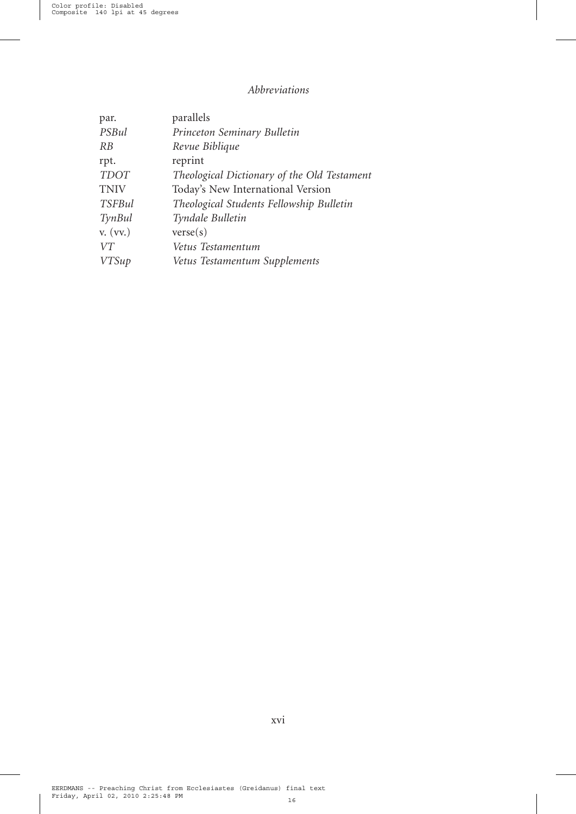### *Abbreviations*

 $\overline{\phantom{a}}$ 

| par.          | parallels                                   |
|---------------|---------------------------------------------|
| PSBul         | Princeton Seminary Bulletin                 |
| RB            | Revue Biblique                              |
| rpt.          | reprint                                     |
| <b>TDOT</b>   | Theological Dictionary of the Old Testament |
| <b>TNIV</b>   | Today's New International Version           |
| <b>TSFBul</b> | Theological Students Fellowship Bulletin    |
| <b>TynBul</b> | Tyndale Bulletin                            |
| v. (vv.)      | verse(s)                                    |
| VT            | Vetus Testamentum                           |
| <b>VTSup</b>  | Vetus Testamentum Supplements               |
|               |                                             |

16 EERDMANS -- Preaching Christ from Ecclesiastes (Greidanus) final text Friday, April 02, 2010 2:25:48 PM

xvi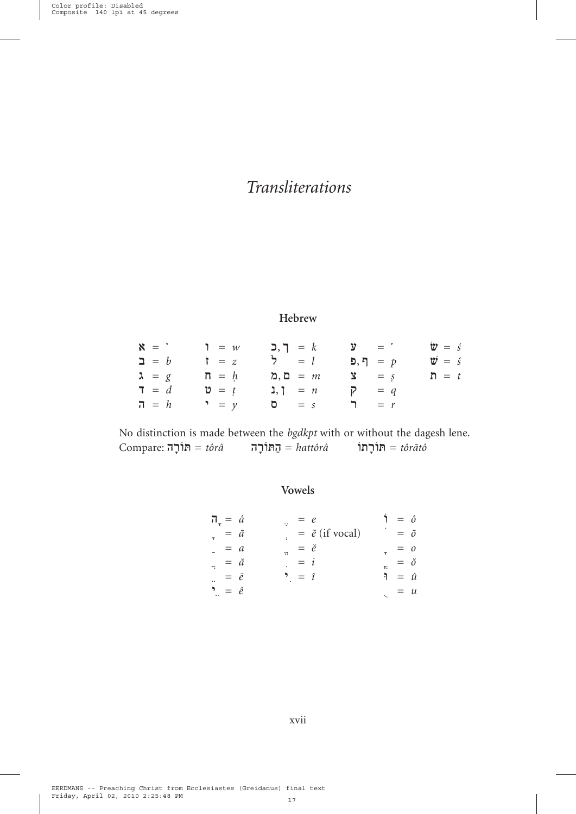## *Transliterations*

 $\overline{\phantom{a}}$ 

#### **Hebrew**

| $x = '$ 1 = w                                                                                                                                                                                                                                                                                                                                                                                             |         | " = ע" $k$   ע" $\mathbf{y}$   $\mathbf{y}$   $\mathbf{y}$   $\mathbf{y}$   $\mathbf{y}$   $\mathbf{y}$   $\mathbf{y}$   $\mathbf{y}$   $\mathbf{y}$   $\mathbf{y}$   $\mathbf{y}$   $\mathbf{y}$   $\mathbf{y}$   $\mathbf{y}$   $\mathbf{y}$   $\mathbf{y}$   $\mathbf{y}$   $\mathbf{y}$   $\mathbf{y}$ |                           | $\mathbf{w} = \mathbf{s}$ |
|-----------------------------------------------------------------------------------------------------------------------------------------------------------------------------------------------------------------------------------------------------------------------------------------------------------------------------------------------------------------------------------------------------------|---------|------------------------------------------------------------------------------------------------------------------------------------------------------------------------------------------------------------------------------------------------------------------------------------------------------------|---------------------------|---------------------------|
| $\mathbf{a} = b$                                                                                                                                                                                                                                                                                                                                                                                          | $z = z$ | $\zeta = l$                                                                                                                                                                                                                                                                                                | פ. ד.                     | $\mathbf{w} = \check{s}$  |
| $\lambda = g$ $\qquad \qquad$ $\qquad \qquad$ $\qquad \qquad$ $\qquad \qquad$ $\qquad \qquad$ $\qquad \qquad$ $\qquad \qquad$ $\qquad \qquad$ $\qquad \qquad$ $\qquad \qquad$ $\qquad \qquad$ $\qquad \qquad$ $\qquad \qquad$ $\qquad \qquad$ $\qquad \qquad$ $\qquad \qquad$ $\qquad \qquad$ $\qquad \qquad$ $\qquad \qquad$ $\qquad \qquad$ $\qquad \qquad$ $\qquad \qquad$ $\qquad \qquad$ $\qquad \q$ |         |                                                                                                                                                                                                                                                                                                            | $\mathbf{y} = \mathbf{y}$ | $\mathbf{n} = t$          |
| $\mathbf{7}$ = d                                                                                                                                                                                                                                                                                                                                                                                          | ט = $t$ | ן, $\mathbf{a} = n$   ק                                                                                                                                                                                                                                                                                    |                           |                           |
| ה = $h$ $y = y$                                                                                                                                                                                                                                                                                                                                                                                           |         | $\sigma = s$ , $\sigma = r$                                                                                                                                                                                                                                                                                |                           |                           |

No distinction is made between the *bgdkpt* with or without the dagesh lene.<br>
Compare: תּוֹלָה = tôrâ הַתּוֹלָה = הַתּוֹלָה = hattôrâ הּוֹלָתוֹ  $\text{Compare:}$  הַתּוֹרָה = *tôrâ* =  $\text{Inattôrâ}$ 

#### **Vowels**

| $\overline{n}_{\tau} = \hat{a}$ |                                      | $v = e$                                   |                                  |                            | $1 = \hat{\rho}$        |  |
|---------------------------------|--------------------------------------|-------------------------------------------|----------------------------------|----------------------------|-------------------------|--|
| $\bar{a}$ = $\bar{a}$           |                                      |                                           |                                  | $=$ $\check{e}$ (if vocal) | $=$ $\bar{o}$           |  |
| $= a$                           |                                      | $\frac{\partial}{\partial x} = \check{e}$ |                                  |                            | $\tau = 0$              |  |
| $= \tilde{a}$                   |                                      |                                           | $= i$                            |                            | $\bar{c}$ = $\check{o}$ |  |
|                                 | $=$ $\bar{e}$                        |                                           | $\ddot{\phantom{1}}$ = $\hat{i}$ |                            | $\mathbf{a} = \hat{u}$  |  |
|                                 | $\overline{\phantom{a}}$ = $\hat{e}$ |                                           |                                  |                            | $\mu = u$               |  |